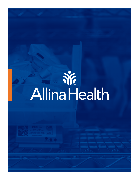# **WE**<br>Allina Health

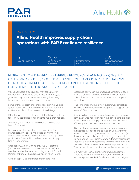



## CASE STUDY

# **Allina Health improves supply chain operations with PAR Excellence resilience**

**NO. OF HOSPITALS NO. OF SCALES**  5 75,178 42 390

**INSTALLED**

**DEPARTMENTS WITH SCALES**

**NO. OF LOCATIONS WITH SCALES**

### MIGRATING TO A DIFFERENT ENTERPRISE RESOURCE PLANNING (ERP) SYSTEM CAN BE AN ARDUOUS, COMPLICATED AND TIME-CONSUMING TASK THAT CAN CONSUME A GREAT DEAL OF RESOURCES ON THE FRONT END BEFORE THE LONG-TERM BENEFITS START TO BE REALIZED.

While healthcare organizations may salivate over anticipated benefits and efficiencies once the system goes live, they tend to experience many frustrating hiccups and speed bumps along the way.

Some of those operational challenges can involve intrasystem connectivity that the ERP vendor is expected to facilitate – at least from one end of the linkage.

What happens on the other end of that linkage matters, too, so you need a resilient partner to make that happen.

The supply chain team at Allina Health learned that lesson first-hand.

Like many top-tier healthcare organizations, the Minneapolis, MN-based integrated delivery network sought to consolidate and standardize to a single ERP platform for Finance, Human Resources and Supply Chain Management.

After nearly 22 years with its previous ERP platform (the IDN went live with the vendor back in 1999), Allina switched earlier this year, according to Sarah Charai, Director of Supply Chain Operations at Allina Health.

Allina's Supply Chain team reached out to PAR

Excellence early on in the process, she indicated, soon after the decision to move to a new ERP was made, in fact. The decision to move quickly made complete sense, too.

"Their integration with our new system was critical as we have PAR Excellence so widespread throughout our System," Charai recalled.

Recruiting PAR Excellence into the conversion process right away was necessary for Allina clinicians to practice effectively and for Supply Chain to transact business efficiently. And their response was appreciated.

"PAR Excellence was very open and willing to assist with the needed interfaces and to support us in whatever way we needed through the transition," Charai said. "[At times] when the implementation didn't go as smooth as we had hoped, PAR Excellence was extremely flexible and supportive with their assistance to make sure orders got placed to allow us to continue to deliver patient care. They put in a lot of time after our go-live to support us."

Like many ERP conversions, Allina's wasn't nearly as simple as flipping a switch. In fact, the information technology team at PAR Excellence had to reconfigure